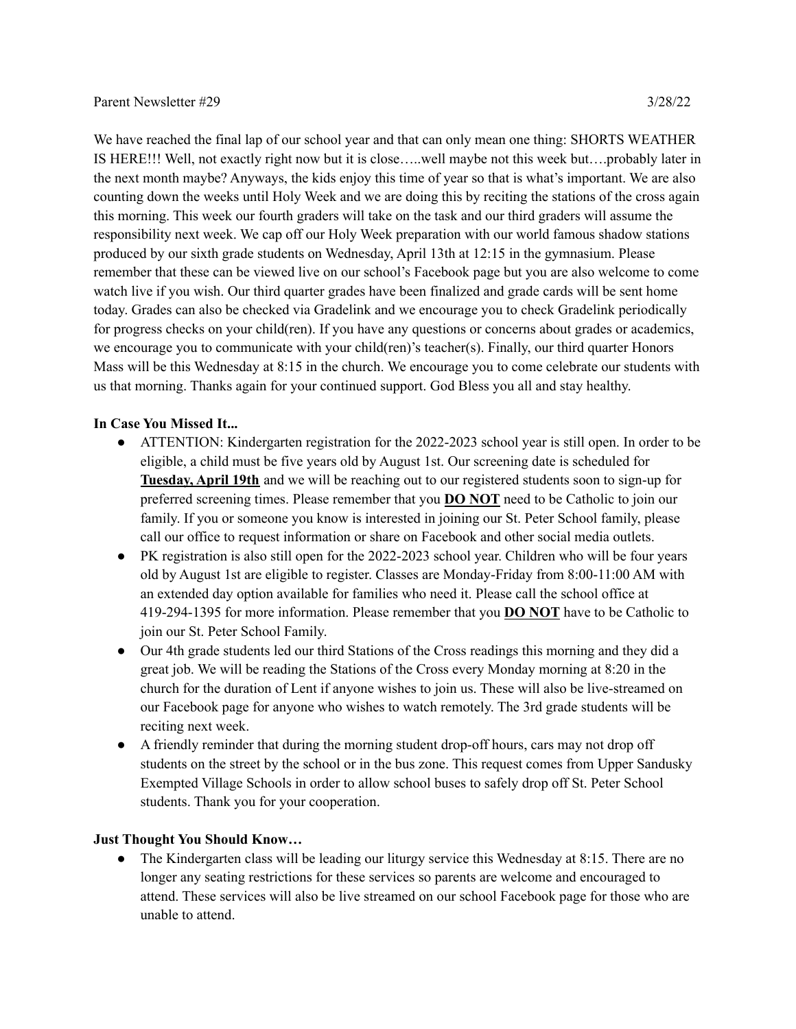We have reached the final lap of our school year and that can only mean one thing: SHORTS WEATHER IS HERE!!! Well, not exactly right now but it is close…..well maybe not this week but….probably later in the next month maybe? Anyways, the kids enjoy this time of year so that is what's important. We are also counting down the weeks until Holy Week and we are doing this by reciting the stations of the cross again this morning. This week our fourth graders will take on the task and our third graders will assume the responsibility next week. We cap off our Holy Week preparation with our world famous shadow stations produced by our sixth grade students on Wednesday, April 13th at 12:15 in the gymnasium. Please remember that these can be viewed live on our school's Facebook page but you are also welcome to come watch live if you wish. Our third quarter grades have been finalized and grade cards will be sent home today. Grades can also be checked via Gradelink and we encourage you to check Gradelink periodically for progress checks on your child(ren). If you have any questions or concerns about grades or academics, we encourage you to communicate with your child(ren)'s teacher(s). Finally, our third quarter Honors Mass will be this Wednesday at 8:15 in the church. We encourage you to come celebrate our students with us that morning. Thanks again for your continued support. God Bless you all and stay healthy.

## **In Case You Missed It...**

- ATTENTION: Kindergarten registration for the 2022-2023 school year is still open. In order to be eligible, a child must be five years old by August 1st. Our screening date is scheduled for **Tuesday, April 19th** and we will be reaching out to our registered students soon to sign-up for preferred screening times. Please remember that you **DO NOT** need to be Catholic to join our family. If you or someone you know is interested in joining our St. Peter School family, please call our office to request information or share on Facebook and other social media outlets.
- PK registration is also still open for the 2022-2023 school year. Children who will be four years old by August 1st are eligible to register. Classes are Monday-Friday from 8:00-11:00 AM with an extended day option available for families who need it. Please call the school office at 419-294-1395 for more information. Please remember that you **DO NOT** have to be Catholic to join our St. Peter School Family.
- Our 4th grade students led our third Stations of the Cross readings this morning and they did a great job. We will be reading the Stations of the Cross every Monday morning at 8:20 in the church for the duration of Lent if anyone wishes to join us. These will also be live-streamed on our Facebook page for anyone who wishes to watch remotely. The 3rd grade students will be reciting next week.
- A friendly reminder that during the morning student drop-off hours, cars may not drop off students on the street by the school or in the bus zone. This request comes from Upper Sandusky Exempted Village Schools in order to allow school buses to safely drop off St. Peter School students. Thank you for your cooperation.

## **Just Thought You Should Know…**

• The Kindergarten class will be leading our liturgy service this Wednesday at 8:15. There are no longer any seating restrictions for these services so parents are welcome and encouraged to attend. These services will also be live streamed on our school Facebook page for those who are unable to attend.